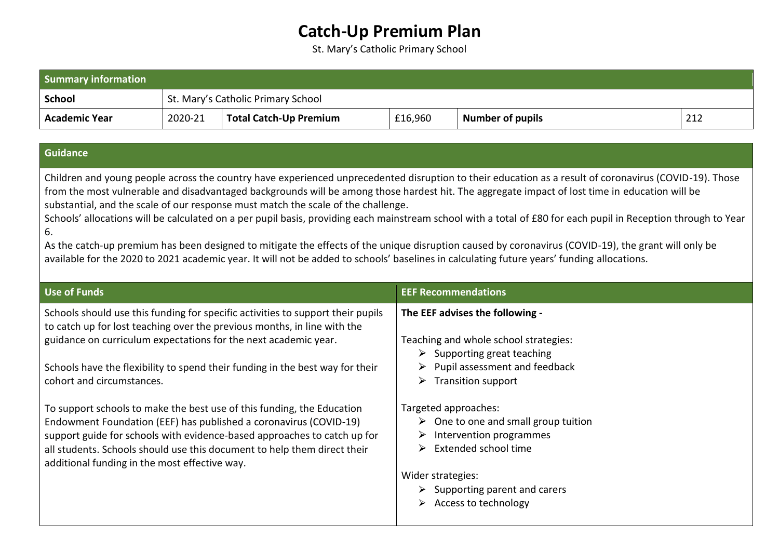## **Catch-Up Premium Plan**

St. Mary's Catholic Primary School

| <b>Summary information</b> |                                    |                        |         |                         |     |
|----------------------------|------------------------------------|------------------------|---------|-------------------------|-----|
| <b>School</b>              | St. Mary's Catholic Primary School |                        |         |                         |     |
| Academic Year              | 2020-21                            | Total Catch-Up Premium | £16,960 | <b>Number of pupils</b> | 212 |

## **Guidance**

Children and young people across the country have experienced unprecedented disruption to their education as a result of coronavirus (COVID-19). Those from the most vulnerable and disadvantaged backgrounds will be among those hardest hit. The aggregate impact of lost time in education will be substantial, and the scale of our response must match the scale of the challenge.

Schools' allocations will be calculated on a per pupil basis, providing each mainstream school with a total of £80 for each pupil in Reception through to Year 6.

As the catch-up premium has been designed to mitigate the effects of the unique disruption caused by coronavirus (COVID-19), the grant will only be available for the 2020 to 2021 academic year. It will not be added to schools' baselines in calculating future years' funding allocations.

| <b>Use of Funds</b>                                                                                                                                                                                                                                                                                                                                  | <b>EEF Recommendations</b>                                                                                                                                                                                                                              |
|------------------------------------------------------------------------------------------------------------------------------------------------------------------------------------------------------------------------------------------------------------------------------------------------------------------------------------------------------|---------------------------------------------------------------------------------------------------------------------------------------------------------------------------------------------------------------------------------------------------------|
| Schools should use this funding for specific activities to support their pupils<br>to catch up for lost teaching over the previous months, in line with the                                                                                                                                                                                          | The EEF advises the following -                                                                                                                                                                                                                         |
| guidance on curriculum expectations for the next academic year.                                                                                                                                                                                                                                                                                      | Teaching and whole school strategies:<br>$\triangleright$ Supporting great teaching                                                                                                                                                                     |
| Schools have the flexibility to spend their funding in the best way for their<br>cohort and circumstances.                                                                                                                                                                                                                                           | $\triangleright$ Pupil assessment and feedback<br>$\triangleright$ Transition support                                                                                                                                                                   |
| To support schools to make the best use of this funding, the Education<br>Endowment Foundation (EEF) has published a coronavirus (COVID-19)<br>support guide for schools with evidence-based approaches to catch up for<br>all students. Schools should use this document to help them direct their<br>additional funding in the most effective way. | Targeted approaches:<br>$\triangleright$ One to one and small group tuition<br>Intervention programmes<br>➤<br>$\triangleright$ Extended school time<br>Wider strategies:<br>$\triangleright$ Supporting parent and carers<br>Access to technology<br>➤ |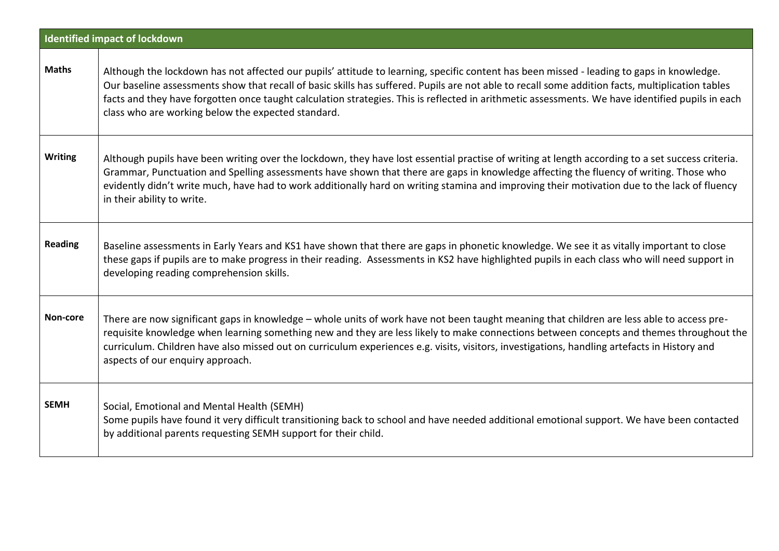|                | <b>Identified impact of lockdown</b>                                                                                                                                                                                                                                                                                                                                                                                                                                                                    |
|----------------|---------------------------------------------------------------------------------------------------------------------------------------------------------------------------------------------------------------------------------------------------------------------------------------------------------------------------------------------------------------------------------------------------------------------------------------------------------------------------------------------------------|
| <b>Maths</b>   | Although the lockdown has not affected our pupils' attitude to learning, specific content has been missed - leading to gaps in knowledge.<br>Our baseline assessments show that recall of basic skills has suffered. Pupils are not able to recall some addition facts, multiplication tables<br>facts and they have forgotten once taught calculation strategies. This is reflected in arithmetic assessments. We have identified pupils in each<br>class who are working below the expected standard. |
| <b>Writing</b> | Although pupils have been writing over the lockdown, they have lost essential practise of writing at length according to a set success criteria.<br>Grammar, Punctuation and Spelling assessments have shown that there are gaps in knowledge affecting the fluency of writing. Those who<br>evidently didn't write much, have had to work additionally hard on writing stamina and improving their motivation due to the lack of fluency<br>in their ability to write.                                 |
| <b>Reading</b> | Baseline assessments in Early Years and KS1 have shown that there are gaps in phonetic knowledge. We see it as vitally important to close<br>these gaps if pupils are to make progress in their reading. Assessments in KS2 have highlighted pupils in each class who will need support in<br>developing reading comprehension skills.                                                                                                                                                                  |
| Non-core       | There are now significant gaps in knowledge - whole units of work have not been taught meaning that children are less able to access pre-<br>requisite knowledge when learning something new and they are less likely to make connections between concepts and themes throughout the<br>curriculum. Children have also missed out on curriculum experiences e.g. visits, visitors, investigations, handling artefacts in History and<br>aspects of our enquiry approach.                                |
| <b>SEMH</b>    | Social, Emotional and Mental Health (SEMH)<br>Some pupils have found it very difficult transitioning back to school and have needed additional emotional support. We have been contacted<br>by additional parents requesting SEMH support for their child.                                                                                                                                                                                                                                              |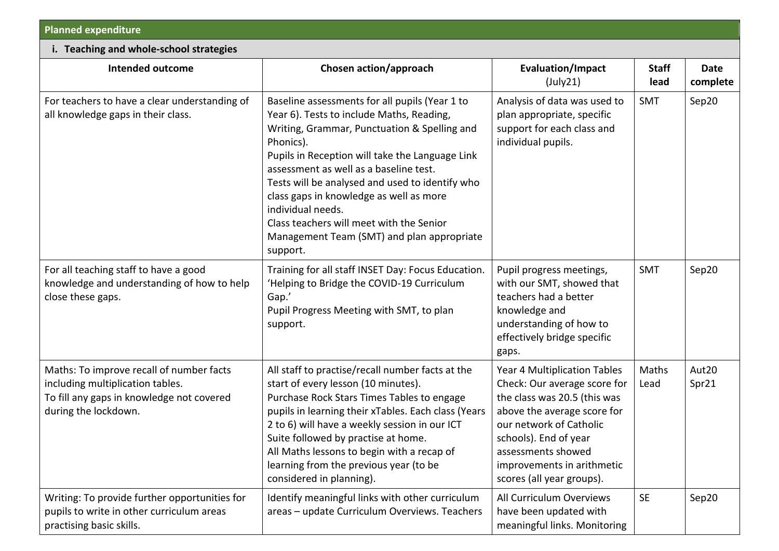| <b>Planned expenditure</b> |  |
|----------------------------|--|
|----------------------------|--|

| - Planned expenditure                                                                                    |                                                                                                                                                                                                                                                                                                                                                                                                                                                                                |                                                                                                                            |                      |                  |  |
|----------------------------------------------------------------------------------------------------------|--------------------------------------------------------------------------------------------------------------------------------------------------------------------------------------------------------------------------------------------------------------------------------------------------------------------------------------------------------------------------------------------------------------------------------------------------------------------------------|----------------------------------------------------------------------------------------------------------------------------|----------------------|------------------|--|
| i. Teaching and whole-school strategies                                                                  |                                                                                                                                                                                                                                                                                                                                                                                                                                                                                |                                                                                                                            |                      |                  |  |
| <b>Intended outcome</b>                                                                                  | Chosen action/approach                                                                                                                                                                                                                                                                                                                                                                                                                                                         | <b>Evaluation/Impact</b><br>(July21)                                                                                       | <b>Staff</b><br>lead | Date<br>complete |  |
| For teachers to have a clear understanding of<br>all knowledge gaps in their class.                      | Baseline assessments for all pupils (Year 1 to<br>Year 6). Tests to include Maths, Reading,<br>Writing, Grammar, Punctuation & Spelling and<br>Phonics).<br>Pupils in Reception will take the Language Link<br>assessment as well as a baseline test.<br>Tests will be analysed and used to identify who<br>class gaps in knowledge as well as more<br>individual needs.<br>Class teachers will meet with the Senior<br>Management Team (SMT) and plan appropriate<br>support. | Analysis of data was used to<br>plan appropriate, specific<br>support for each class and<br>individual pupils.             | SMT                  | Sep20            |  |
| For all teaching staff to have a good<br>knowledge and understanding of how to help<br>close these gaps. | Training for all staff INSET Day: Focus Education.<br>'Helping to Bridge the COVID-19 Curriculum<br>Gap.'<br>Pupil Progress Meeting with SMT, to plan<br>support.                                                                                                                                                                                                                                                                                                              | Pupil progress meetings,<br>with our SMT, showed that<br>teachers had a better<br>knowledge and<br>understanding of how to | <b>SMT</b>           | Sep20            |  |

|                                                                                                                                                   | support.                                                                                                                                                                                                                                                                                                                                                                                                 | understanding of how to<br>effectively bridge specific<br>gaps.                                                                                                                                                                                                  |               |                |
|---------------------------------------------------------------------------------------------------------------------------------------------------|----------------------------------------------------------------------------------------------------------------------------------------------------------------------------------------------------------------------------------------------------------------------------------------------------------------------------------------------------------------------------------------------------------|------------------------------------------------------------------------------------------------------------------------------------------------------------------------------------------------------------------------------------------------------------------|---------------|----------------|
| Maths: To improve recall of number facts<br>including multiplication tables.<br>To fill any gaps in knowledge not covered<br>during the lockdown. | All staff to practise/recall number facts at the<br>start of every lesson (10 minutes).<br>Purchase Rock Stars Times Tables to engage<br>pupils in learning their xTables. Each class (Years<br>2 to 6) will have a weekly session in our ICT<br>Suite followed by practise at home.<br>All Maths lessons to begin with a recap of<br>learning from the previous year (to be<br>considered in planning). | Year 4 Multiplication Tables<br>Check: Our average score for<br>the class was 20.5 (this was<br>above the average score for<br>our network of Catholic<br>schools). End of year<br>assessments showed<br>improvements in arithmetic<br>scores (all year groups). | Maths<br>Lead | Aut20<br>Spr21 |
| Writing: To provide further opportunities for<br>pupils to write in other curriculum areas<br>practising basic skills.                            | Identify meaningful links with other curriculum<br>areas - update Curriculum Overviews. Teachers                                                                                                                                                                                                                                                                                                         | All Curriculum Overviews<br>have been updated with<br>meaningful links. Monitoring                                                                                                                                                                               | <b>SE</b>     | Sep20          |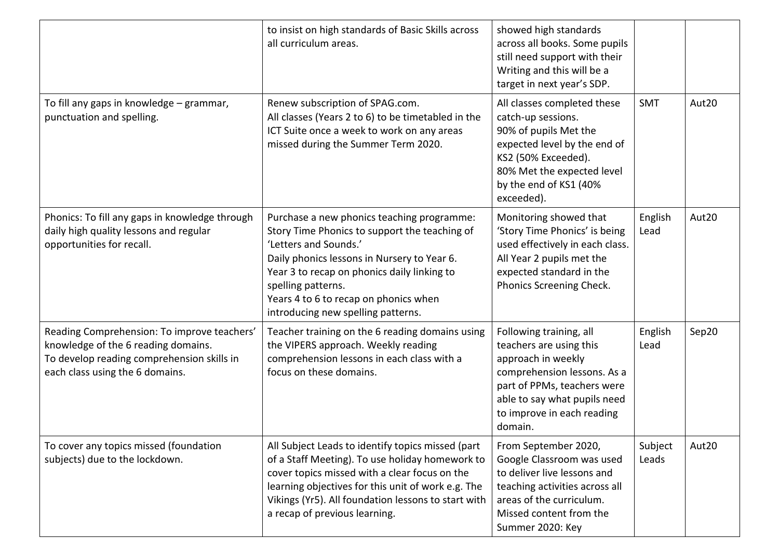|                                                                                                                                                                     | to insist on high standards of Basic Skills across<br>all curriculum areas.                                                                                                                                                                                                                                             | showed high standards<br>across all books. Some pupils<br>still need support with their<br>Writing and this will be a<br>target in next year's SDP.                                                             |                  |       |
|---------------------------------------------------------------------------------------------------------------------------------------------------------------------|-------------------------------------------------------------------------------------------------------------------------------------------------------------------------------------------------------------------------------------------------------------------------------------------------------------------------|-----------------------------------------------------------------------------------------------------------------------------------------------------------------------------------------------------------------|------------------|-------|
| To fill any gaps in knowledge - grammar,<br>punctuation and spelling.                                                                                               | Renew subscription of SPAG.com.<br>All classes (Years 2 to 6) to be timetabled in the<br>ICT Suite once a week to work on any areas<br>missed during the Summer Term 2020.                                                                                                                                              | All classes completed these<br>catch-up sessions.<br>90% of pupils Met the<br>expected level by the end of<br>KS2 (50% Exceeded).<br>80% Met the expected level<br>by the end of KS1 (40%<br>exceeded).         | <b>SMT</b>       | Aut20 |
| Phonics: To fill any gaps in knowledge through<br>daily high quality lessons and regular<br>opportunities for recall.                                               | Purchase a new phonics teaching programme:<br>Story Time Phonics to support the teaching of<br>'Letters and Sounds.'<br>Daily phonics lessons in Nursery to Year 6.<br>Year 3 to recap on phonics daily linking to<br>spelling patterns.<br>Years 4 to 6 to recap on phonics when<br>introducing new spelling patterns. | Monitoring showed that<br>'Story Time Phonics' is being<br>used effectively in each class.<br>All Year 2 pupils met the<br>expected standard in the<br>Phonics Screening Check.                                 | English<br>Lead  | Aut20 |
| Reading Comprehension: To improve teachers'<br>knowledge of the 6 reading domains.<br>To develop reading comprehension skills in<br>each class using the 6 domains. | Teacher training on the 6 reading domains using<br>the VIPERS approach. Weekly reading<br>comprehension lessons in each class with a<br>focus on these domains.                                                                                                                                                         | Following training, all<br>teachers are using this<br>approach in weekly<br>comprehension lessons. As a<br>part of PPMs, teachers were<br>able to say what pupils need<br>to improve in each reading<br>domain. | English<br>Lead  | Sep20 |
| To cover any topics missed (foundation<br>subjects) due to the lockdown.                                                                                            | All Subject Leads to identify topics missed (part<br>of a Staff Meeting). To use holiday homework to<br>cover topics missed with a clear focus on the<br>learning objectives for this unit of work e.g. The<br>Vikings (Yr5). All foundation lessons to start with<br>a recap of previous learning.                     | From September 2020,<br>Google Classroom was used<br>to deliver live lessons and<br>teaching activities across all<br>areas of the curriculum.<br>Missed content from the<br>Summer 2020: Key                   | Subject<br>Leads | Aut20 |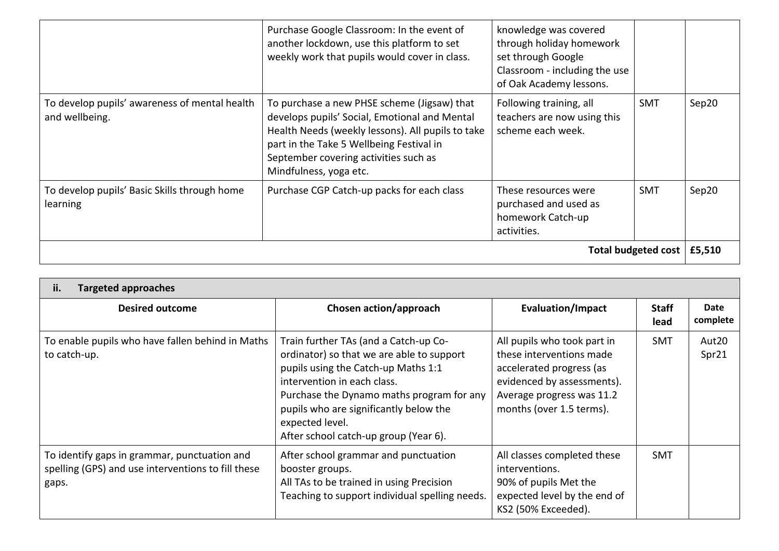|                                                                 | Purchase Google Classroom: In the event of<br>another lockdown, use this platform to set<br>weekly work that pupils would cover in class.                                                                                                                        | knowledge was covered<br>through holiday homework<br>set through Google<br>Classroom - including the use<br>of Oak Academy lessons. |            |       |
|-----------------------------------------------------------------|------------------------------------------------------------------------------------------------------------------------------------------------------------------------------------------------------------------------------------------------------------------|-------------------------------------------------------------------------------------------------------------------------------------|------------|-------|
| To develop pupils' awareness of mental health<br>and wellbeing. | To purchase a new PHSE scheme (Jigsaw) that<br>develops pupils' Social, Emotional and Mental<br>Health Needs (weekly lessons). All pupils to take<br>part in the Take 5 Wellbeing Festival in<br>September covering activities such as<br>Mindfulness, yoga etc. | Following training, all<br>teachers are now using this<br>scheme each week.                                                         | <b>SMT</b> | Sep20 |
| To develop pupils' Basic Skills through home<br><b>learning</b> | Purchase CGP Catch-up packs for each class                                                                                                                                                                                                                       | These resources were<br>purchased and used as<br>homework Catch-up<br>activities.                                                   | <b>SMT</b> | Sep20 |
| Total budgeted cost<br>£5,510                                   |                                                                                                                                                                                                                                                                  |                                                                                                                                     |            |       |

| ii.<br><b>Targeted approaches</b>                                                                           |                                                                                                                                                                                                                                                                                                             |                                                                                                                                                                            |                      |                  |
|-------------------------------------------------------------------------------------------------------------|-------------------------------------------------------------------------------------------------------------------------------------------------------------------------------------------------------------------------------------------------------------------------------------------------------------|----------------------------------------------------------------------------------------------------------------------------------------------------------------------------|----------------------|------------------|
| <b>Desired outcome</b>                                                                                      | Chosen action/approach                                                                                                                                                                                                                                                                                      | <b>Evaluation/Impact</b>                                                                                                                                                   | <b>Staff</b><br>lead | Date<br>complete |
| To enable pupils who have fallen behind in Maths<br>to catch-up.                                            | Train further TAs (and a Catch-up Co-<br>ordinator) so that we are able to support<br>pupils using the Catch-up Maths 1:1<br>intervention in each class.<br>Purchase the Dynamo maths program for any<br>pupils who are significantly below the<br>expected level.<br>After school catch-up group (Year 6). | All pupils who took part in<br>these interventions made<br>accelerated progress (as<br>evidenced by assessments).<br>Average progress was 11.2<br>months (over 1.5 terms). | <b>SMT</b>           | Aut20<br>Spr21   |
| To identify gaps in grammar, punctuation and<br>spelling (GPS) and use interventions to fill these<br>gaps. | After school grammar and punctuation<br>booster groups.<br>All TAs to be trained in using Precision<br>Teaching to support individual spelling needs.                                                                                                                                                       | All classes completed these<br>interventions.<br>90% of pupils Met the<br>expected level by the end of<br>KS2 (50% Exceeded).                                              | <b>SMT</b>           |                  |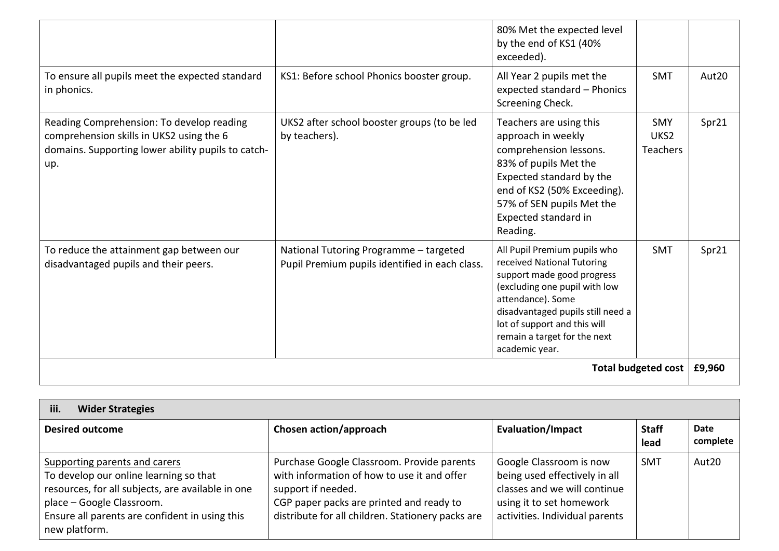|                                                                                                                                                    |                                                                                          | 80% Met the expected level<br>by the end of KS1 (40%<br>exceeded).                                                                                                                                                                                                    |                                                   |        |
|----------------------------------------------------------------------------------------------------------------------------------------------------|------------------------------------------------------------------------------------------|-----------------------------------------------------------------------------------------------------------------------------------------------------------------------------------------------------------------------------------------------------------------------|---------------------------------------------------|--------|
| To ensure all pupils meet the expected standard<br>in phonics.                                                                                     | KS1: Before school Phonics booster group.                                                | All Year 2 pupils met the<br>expected standard - Phonics<br>Screening Check.                                                                                                                                                                                          | <b>SMT</b>                                        | Aut20  |
| Reading Comprehension: To develop reading<br>comprehension skills in UKS2 using the 6<br>domains. Supporting lower ability pupils to catch-<br>up. | UKS2 after school booster groups (to be led<br>by teachers).                             | Teachers are using this<br>approach in weekly<br>comprehension lessons.<br>83% of pupils Met the<br>Expected standard by the<br>end of KS2 (50% Exceeding).<br>57% of SEN pupils Met the<br>Expected standard in<br>Reading.                                          | <b>SMY</b><br>UKS <sub>2</sub><br><b>Teachers</b> | Spr21  |
| To reduce the attainment gap between our<br>disadvantaged pupils and their peers.                                                                  | National Tutoring Programme - targeted<br>Pupil Premium pupils identified in each class. | All Pupil Premium pupils who<br>received National Tutoring<br>support made good progress<br>(excluding one pupil with low<br>attendance). Some<br>disadvantaged pupils still need a<br>lot of support and this will<br>remain a target for the next<br>academic year. | <b>SMT</b>                                        | Spr21  |
| Total budgeted cost                                                                                                                                |                                                                                          |                                                                                                                                                                                                                                                                       |                                                   | £9,960 |

| iii.<br><b>Wider Strategies</b>                                                                                                                                                                                              |                                                                                                                                                                                                                  |                                                                                                                                                        |                      |                  |
|------------------------------------------------------------------------------------------------------------------------------------------------------------------------------------------------------------------------------|------------------------------------------------------------------------------------------------------------------------------------------------------------------------------------------------------------------|--------------------------------------------------------------------------------------------------------------------------------------------------------|----------------------|------------------|
| <b>Desired outcome</b>                                                                                                                                                                                                       | Chosen action/approach                                                                                                                                                                                           | <b>Evaluation/Impact</b>                                                                                                                               | <b>Staff</b><br>lead | Date<br>complete |
| Supporting parents and carers<br>To develop our online learning so that<br>resources, for all subjects, are available in one<br>place - Google Classroom.<br>Ensure all parents are confident in using this<br>new platform. | Purchase Google Classroom. Provide parents<br>with information of how to use it and offer<br>support if needed.<br>CGP paper packs are printed and ready to<br>distribute for all children. Stationery packs are | Google Classroom is now<br>being used effectively in all<br>classes and we will continue<br>using it to set homework<br>activities. Individual parents | <b>SMT</b>           | Aut20            |